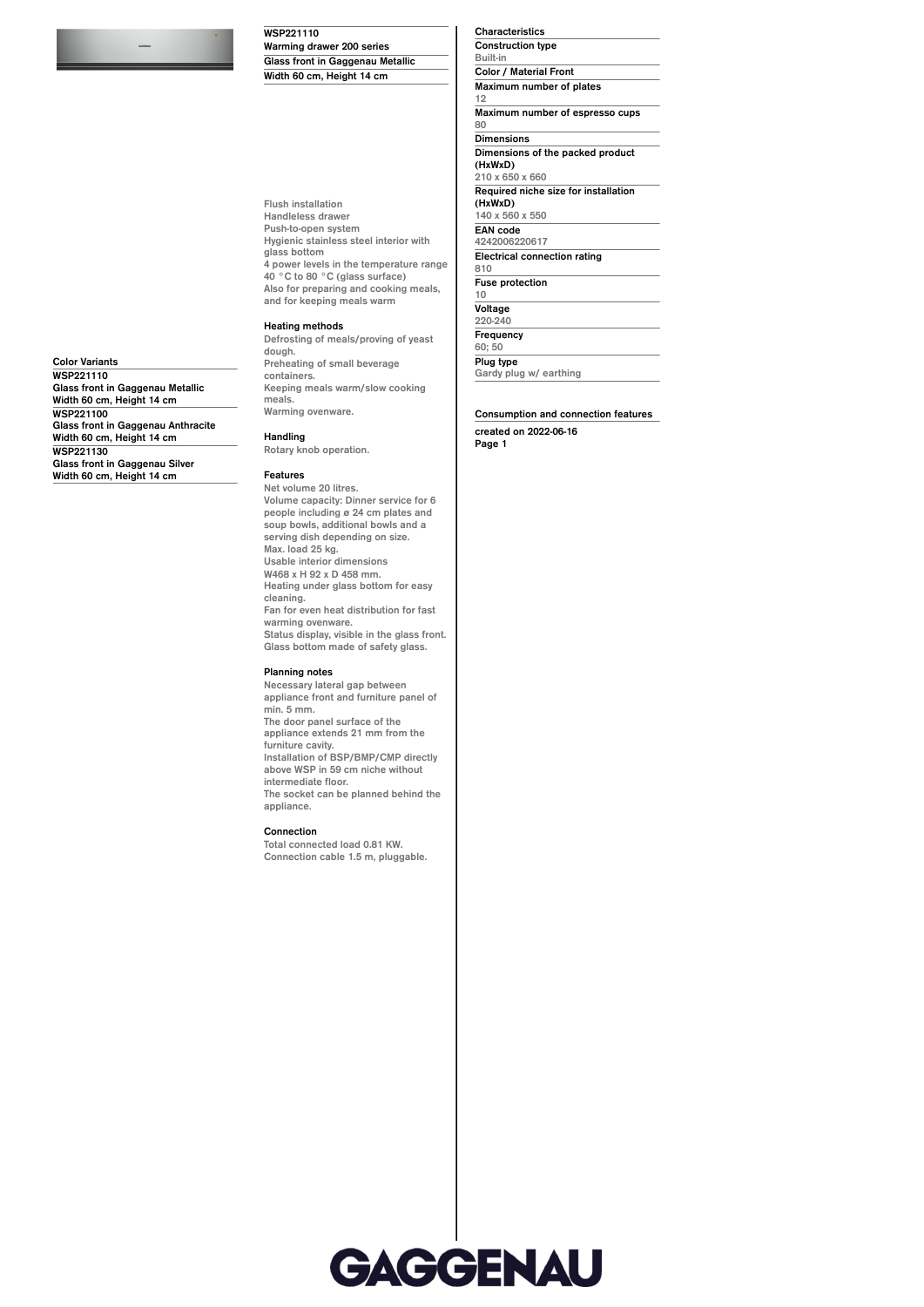**WSP221110 Warming drawer 200 series Glass front in Gaggenau Metallic Width 60 cm, Height 14 cm**

**Flush installation Handleless drawer Push-to-open system Hygienic stainless steel interior with glass bottom 4 power levels in the temperature range 40 °C to 80 °C (glass surface) Also for preparing and cooking meals, and for keeping meals warm**

## **Heating methods**

**Defrosting of meals/proving of yeast dough. Preheating of small beverage containers. Keeping meals warm/slow cooking meals. Warming ovenware.**

**Handling**

**Rotary knob operation.**

## **Features**

**Net volume 20 litres. Volume capacity: Dinner service for 6 people including ø 24 cm plates and soup bowls, additional bowls and a serving dish depending on size. Max. load 25 kg. Usable interior dimensions W468 x H 92 x D 458 mm. Heating under glass bottom for easy cleaning. Fan for even heat distribution for fast warming ovenware. Status display, visible in the glass front. Glass bottom made of safety glass.**

## **Planning notes**

**Necessary lateral gap between appliance front and furniture panel of min. 5 mm. The door panel surface of the appliance extends 21 mm from the furniture cavity. Installation of BSP/BMP/CMP directly above WSP in 59 cm niche without intermediate floor. The socket can be planned behind the appliance.**

## **Connection**

**Total connected load 0.81 KW. Connection cable 1.5 m, pluggable.** **Characteristics Construction type Built-in Color / Material Front Maximum number of plates 12 Maximum number of espresso cups 80 Dimensions Dimensions of the packed product (HxWxD) 210 x 650 x 660 Required niche size for installation (HxWxD) 140 x 560 x 550 EAN code 4242006220617 Electrical connection rating 810 Fuse protection 10 Voltage 220-240**

**Frequency 60; 50 Plug type**

**Gardy plug w/ earthing**

**Consumption and connection features**

**created on 2022-06-16 Page 1**



**Color Variants WSP221110 Glass front in Gaggenau Metallic Width 60 cm, Height 14 cm WSP221100 Glass front in Gaggenau Anthracite Width 60 cm, Height 14 cm WSP221130 Glass front in Gaggenau Silver Width 60 cm, Height 14 cm**